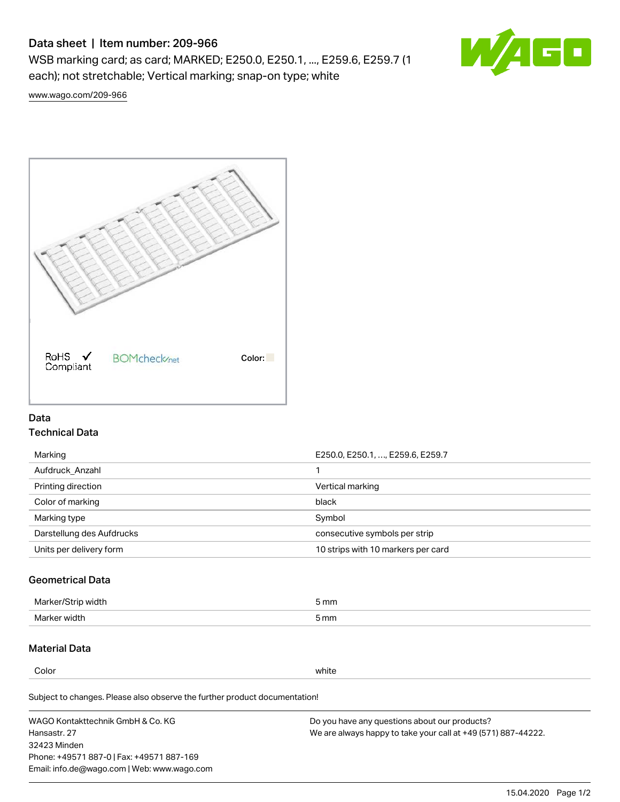# Data sheet | Item number: 209-966

WSB marking card; as card; MARKED; E250.0, E250.1, ..., E259.6, E259.7 (1 each); not stretchable; Vertical marking; snap-on type; white



[www.wago.com/209-966](http://www.wago.com/209-966)



## Data Technical Data

| Marking                   | E250.0, E250.1, , E259.6, E259.7   |
|---------------------------|------------------------------------|
| Aufdruck Anzahl           |                                    |
| Printing direction        | Vertical marking                   |
| Color of marking          | black                              |
| Marking type              | Symbol                             |
| Darstellung des Aufdrucks | consecutive symbols per strip      |
| Units per delivery form   | 10 strips with 10 markers per card |

## Geometrical Data

| طلقاء ئ<br><b>Marker</b><br>widtr | ັກmm |
|-----------------------------------|------|
| Marker width                      | 5 mm |

# Material Data

Color white

Subject to changes. Please also observe the further product documentation!

WAGO Kontakttechnik GmbH & Co. KG Hansastr. 27 32423 Minden Phone: +49571 887-0 | Fax: +49571 887-169 Email: info.de@wago.com | Web: www.wago.com Do you have any questions about our products? We are always happy to take your call at +49 (571) 887-44222.